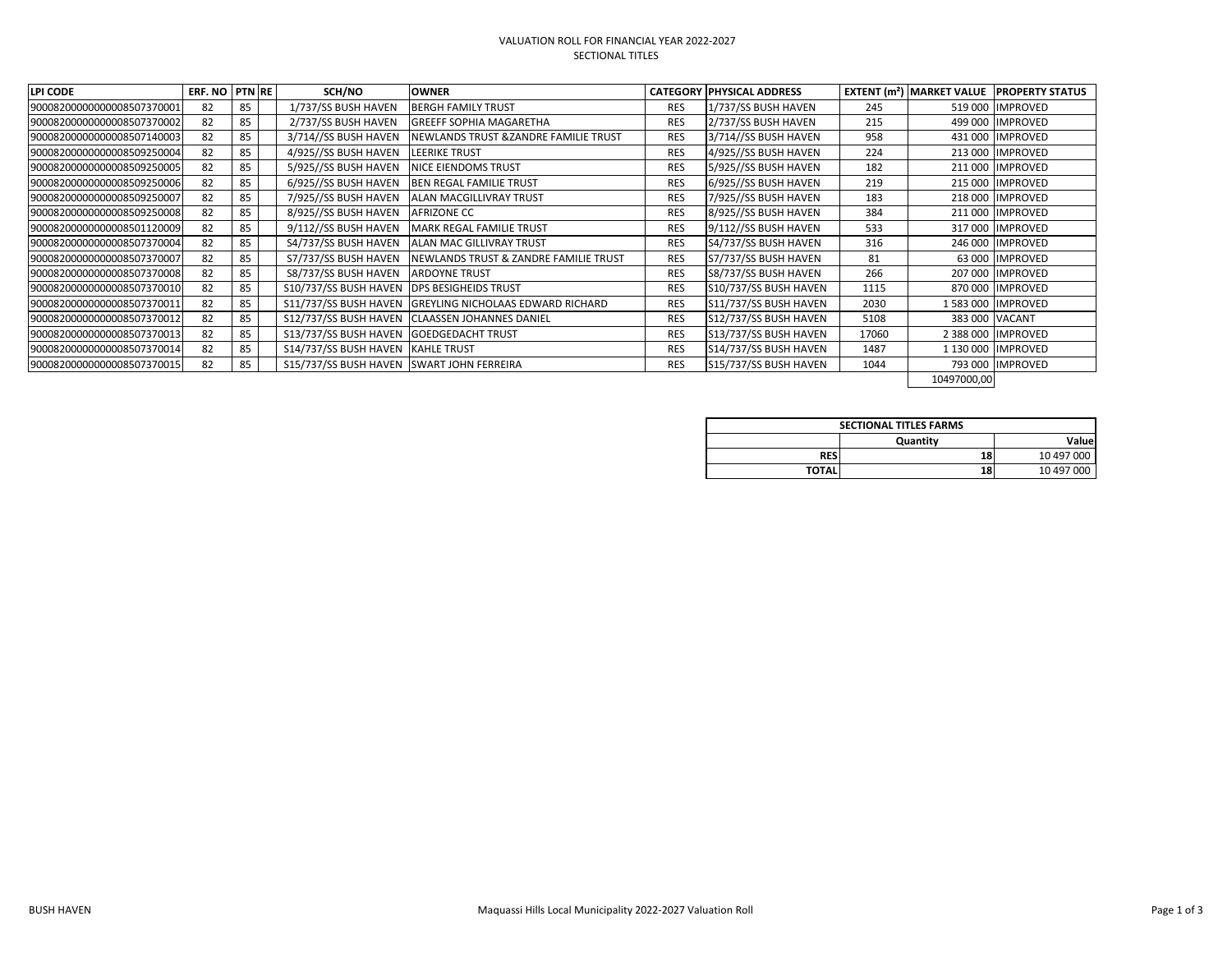## VALUATION ROLL FOR FINANCIAL YEAR 2022-2027 SECTIONAL TITLES

| <b>LPI CODE</b>            | ERF. NO | <b>PTN RE</b> | SCH/NO                                    | <b>OWNER</b>                             |            | <b>CATEGORY PHYSICAL ADDRESS</b> |       | <b>EXTENT (<math>m^2</math>) MARKET VALUE</b> | <b>PROPERTY STATUS</b> |
|----------------------------|---------|---------------|-------------------------------------------|------------------------------------------|------------|----------------------------------|-------|-----------------------------------------------|------------------------|
| 90008200000000008507370001 | 82      | 85            | 1/737/SS BUSH HAVEN                       | <b>BERGH FAMILY TRUST</b>                | <b>RES</b> | 1/737/SS BUSH HAVEN              | 245   |                                               | 519 000 IMPROVED       |
| 90008200000000008507370002 | 82      | 85            | 2/737/SS BUSH HAVEN                       | <b>GREEFF SOPHIA MAGARETHA</b>           | <b>RES</b> | 2/737/SS BUSH HAVEN              | 215   |                                               | 499 000 IMPROVED       |
| 90008200000000008507140003 | 82      | 85            | 3/714//SS BUSH HAVEN                      | NEWLANDS TRUST & ZANDRE FAMILIE TRUST    | <b>RES</b> | 3/714//SS BUSH HAVEN             | 958   |                                               | 431 000 IMPROVED       |
| 90008200000000008509250004 | 82      | 85            | 4/925//SS BUSH HAVEN                      | <b>LEERIKE TRUST</b>                     | <b>RES</b> | 4/925//SS BUSH HAVEN             | 224   |                                               | 213 000 IMPROVED       |
| 90008200000000008509250005 | 82      | 85            | 5/925//SS BUSH HAVEN                      | <b>NICE EIENDOMS TRUST</b>               | <b>RES</b> | 5/925//SS BUSH HAVEN             | 182   |                                               | 211 000 IMPROVED       |
| 90008200000000008509250006 | 82      | 85            | 6/925//SS BUSH HAVEN                      | <b>BEN REGAL FAMILIE TRUST</b>           | <b>RES</b> | 6/925//SS BUSH HAVEN             | 219   |                                               | 215 000 IMPROVED       |
| 90008200000000008509250007 | 82      | 85            | 7/925//SS BUSH HAVEN                      | <b>ALAN MACGILLIVRAY TRUST</b>           | <b>RES</b> | 7/925//SS BUSH HAVEN             | 183   |                                               | 218 000 IMPROVED       |
| 90008200000000008509250008 | 82      | 85            | 8/925//SS BUSH HAVEN                      | <b>AFRIZONE CC</b>                       | <b>RES</b> | 8/925//SS BUSH HAVEN             | 384   |                                               | 211 000  IMPROVED      |
| 90008200000000008501120009 | 82      | 85            | 9/112//SS BUSH HAVEN                      | <b>MARK REGAL FAMILIE TRUST</b>          | <b>RES</b> | 9/112//SS BUSH HAVEN             | 533   |                                               | 317 000 IMPROVED       |
| 90008200000000008507370004 | 82      | 85            | S4/737/SS BUSH HAVEN                      | ALAN MAC GILLIVRAY TRUST                 | <b>RES</b> | S4/737/SS BUSH HAVEN             | 316   | 246 000                                       | <b>IMPROVED</b>        |
| 90008200000000008507370007 | 82      | 85            | S7/737/SS BUSH HAVEN                      | NEWLANDS TRUST & ZANDRE FAMILIE TRUST    | <b>RES</b> | S7/737/SS BUSH HAVEN             | 81    |                                               | 63 000 IMPROVED        |
| 90008200000000008507370008 | 82      | 85            | S8/737/SS BUSH HAVEN                      | <b>ARDOYNE TRUST</b>                     | <b>RES</b> | S8/737/SS BUSH HAVEN             | 266   |                                               | 207 000 IMPROVED       |
| 90008200000000008507370010 | 82      | 85            | S10/737/SS BUSH HAVEN                     | <b>DPS BESIGHEIDS TRUST</b>              | <b>RES</b> | S10/737/SS BUSH HAVEN            | 1115  |                                               | 870 000 IMPROVED       |
| 90008200000000008507370011 | 82      | 85            | S11/737/SS BUSH HAVEN                     | <b>GREYLING NICHOLAAS EDWARD RICHARD</b> | <b>RES</b> | S11/737/SS BUSH HAVEN            | 2030  |                                               | 1 583 000 IMPROVED     |
| 90008200000000008507370012 | 82      | 85            | S12/737/SS BUSH HAVEN                     | <b>CLAASSEN JOHANNES DANIEL</b>          | <b>RES</b> | S12/737/SS BUSH HAVEN            | 5108  |                                               | 383 000 VACANT         |
| 90008200000000008507370013 | 82      | 85            | S13/737/SS BUSH HAVEN                     | <b>GOEDGEDACHT TRUST</b>                 | <b>RES</b> | S13/737/SS BUSH HAVEN            | 17060 |                                               | 2 388 000 IMPROVED     |
| 90008200000000008507370014 | 82      | 85            | S14/737/SS BUSH HAVEN                     | KAHLE TRUST                              | <b>RES</b> | S14/737/SS BUSH HAVEN            | 1487  |                                               | 1 130 000 IMPROVED     |
| 90008200000000008507370015 | 82      | 85            | S15/737/SS BUSH HAVEN SWART JOHN FERREIRA |                                          | <b>RES</b> | S15/737/SS BUSH HAVEN            | 1044  |                                               | 793 000 IIMPROVED      |
|                            |         |               |                                           |                                          |            |                                  |       | 10497000,00                                   |                        |

| <b>SECTIONAL TITLES FARMS</b> |           |            |  |  |  |  |  |  |
|-------------------------------|-----------|------------|--|--|--|--|--|--|
|                               | Quantity  | Valuel     |  |  |  |  |  |  |
| <b>RES</b>                    | <b>18</b> | 10 497 000 |  |  |  |  |  |  |
| <b>TOTAL</b>                  | <b>18</b> | 10 497 000 |  |  |  |  |  |  |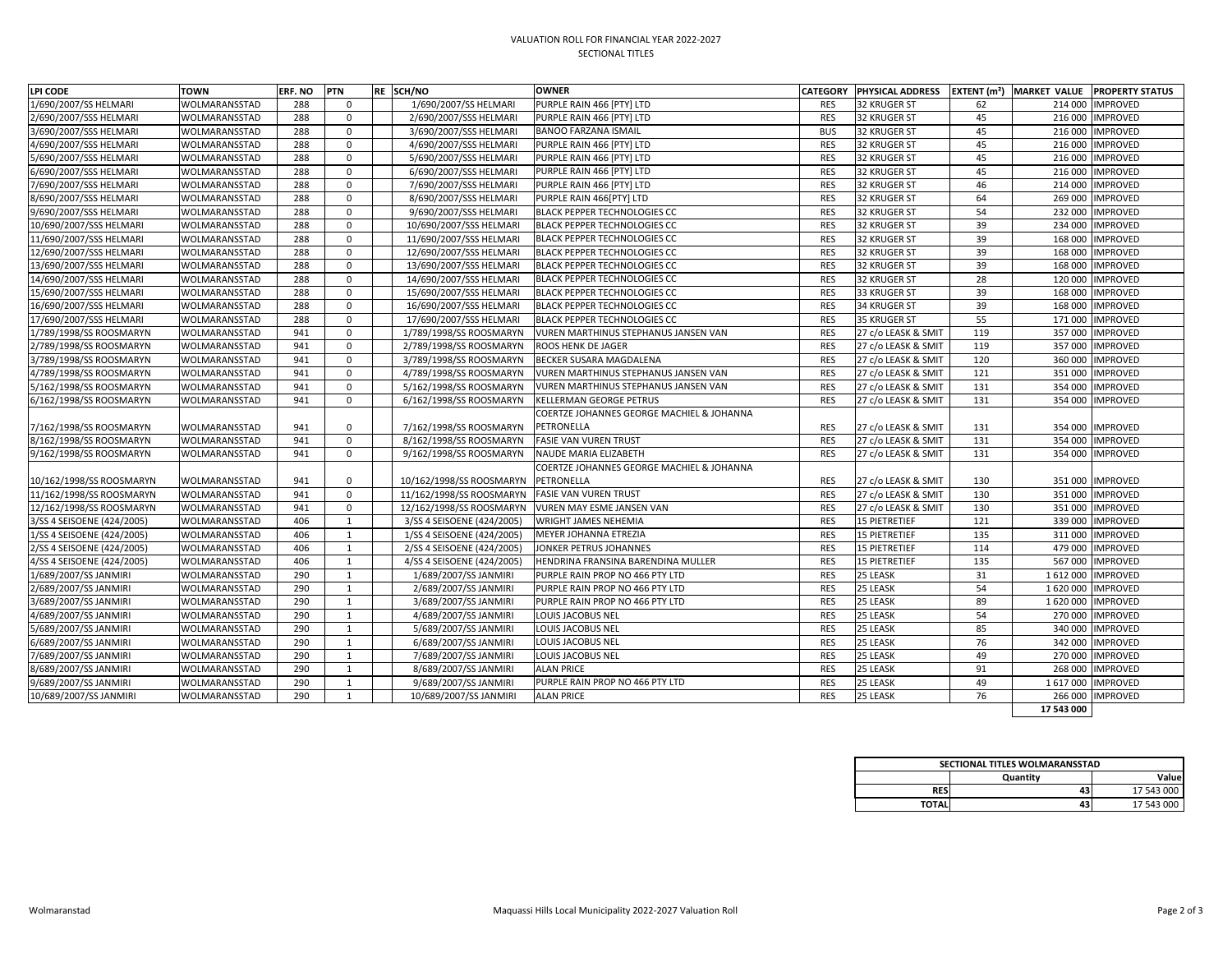## VALUATION ROLL FOR FINANCIAL YEAR 2022-2027 SECTIONAL TITLES

| LPI CODE                   | <b>TOWN</b>          | <b>ERF. NO</b> | <b>PTN</b> | RE SCH/NO                  | <b>OWNER</b>                                | <b>CATEGORY</b> | <b>PHYSICAL ADDRESS</b> | <b>EXTENT</b> (m <sup>2</sup> ) |            | MARKET VALUE PROPERTY STATUS |
|----------------------------|----------------------|----------------|------------|----------------------------|---------------------------------------------|-----------------|-------------------------|---------------------------------|------------|------------------------------|
| 1/690/2007/SS HELMARI      | WOLMARANSSTAD        | 288            | $\Omega$   | 1/690/2007/SS HELMARI      | PURPLE RAIN 466 [PTY] LTD                   | <b>RES</b>      | 32 KRUGER ST            | 62                              |            | 214 000 IMPROVED             |
| 2/690/2007/SSS HELMARI     | WOLMARANSSTAD        | 288            | $\Omega$   | 2/690/2007/SSS HELMARI     | PURPLE RAIN 466 [PTY] LTD                   | <b>RES</b>      | <b>32 KRUGER ST</b>     | 45                              |            | 216 000 IMPROVED             |
| 3/690/2007/SSS HELMARI     | WOLMARANSSTAD        | 288            | $\Omega$   | 3/690/2007/SSS HELMARI     | <b>BANOO FARZANA ISMAIL</b>                 | <b>BUS</b>      | <b>32 KRUGER ST</b>     | 45                              | 216 000    | <b>IMPROVED</b>              |
| 4/690/2007/SSS HELMARI     | WOLMARANSSTAD        | 288            | $\Omega$   | 4/690/2007/SSS HELMARI     | PURPLE RAIN 466 [PTY] LTD                   | <b>RES</b>      | <b>32 KRUGER ST</b>     | 45                              | 216 000    | <b>IMPROVED</b>              |
| 5/690/2007/SSS HELMARI     | WOLMARANSSTAD        | 288            | $\Omega$   | 5/690/2007/SSS HELMARI     | PURPLE RAIN 466 [PTY] LTD                   | <b>RES</b>      | <b>32 KRUGER ST</b>     | 45                              | 216 000    | <b>IMPROVED</b>              |
| 6/690/2007/SSS HELMARI     | WOLMARANSSTAD        | 288            | $\Omega$   | 6/690/2007/SSS HELMARI     | PURPLE RAIN 466 [PTY] LTD                   | <b>RES</b>      | <b>32 KRUGER ST</b>     | 45                              |            | 216 000   IMPROVED           |
| 7/690/2007/SSS HELMARI     | WOLMARANSSTAD        | 288            | $\Omega$   | 7/690/2007/SSS HELMARI     | PURPLE RAIN 466 [PTY] LTD                   | <b>RES</b>      | 32 KRUGER ST            | 46                              |            | 214 000 IMPROVED             |
| 8/690/2007/SSS HELMARI     | WOLMARANSSTAD        | 288            | $\Omega$   | 8/690/2007/SSS HELMARI     | PURPLE RAIN 466[PTY] LTD                    | <b>RES</b>      | <b>32 KRUGER ST</b>     | 64                              | 269 000    | <b>IMPROVED</b>              |
| 9/690/2007/SSS HELMARI     | WOLMARANSSTAD        | 288            | $\Omega$   | 9/690/2007/SSS HELMARI     | <b>BLACK PEPPER TECHNOLOGIES CC</b>         | <b>RES</b>      | <b>32 KRUGER ST</b>     | 54                              |            | 232 000 IMPROVED             |
| 10/690/2007/SSS HELMARI    | WOLMARANSSTAD        | 288            | $\Omega$   | 10/690/2007/SSS HELMARI    | <b>BLACK PEPPER TECHNOLOGIES CC</b>         | <b>RES</b>      | <b>32 KRUGER ST</b>     | 39                              |            | 234 000 IMPROVED             |
| 11/690/2007/SSS HELMARI    | WOLMARANSSTAD        | 288            | $\Omega$   | 11/690/2007/SSS HELMARI    | <b>BLACK PEPPER TECHNOLOGIES CC</b>         | <b>RES</b>      | <b>32 KRUGER ST</b>     | 39                              |            | 168 000 IMPROVED             |
| 12/690/2007/SSS HELMARI    | WOLMARANSSTAD        | 288            | $\Omega$   | 12/690/2007/SSS HELMARI    | <b>BLACK PEPPER TECHNOLOGIES CC</b>         | <b>RES</b>      | <b>32 KRUGER ST</b>     | 39                              | 168 000    | <b>IMPROVED</b>              |
| 13/690/2007/SSS HELMARI    | WOLMARANSSTAD        | 288            | $\Omega$   | 13/690/2007/SSS HELMARI    | <b>BLACK PEPPER TECHNOLOGIES CC</b>         | <b>RES</b>      | <b>32 KRUGER ST</b>     | 39                              | 168 000    | <b>IMPROVED</b>              |
| 14/690/2007/SSS HELMARI    | WOLMARANSSTAD        | 288            | $\Omega$   | 14/690/2007/SSS HELMARI    | <b>BLACK PEPPER TECHNOLOGIES CC</b>         | <b>RES</b>      | <b>32 KRUGER ST</b>     | 28                              | 120 000    | <b>IMPROVED</b>              |
| 15/690/2007/SSS HELMARI    | WOLMARANSSTAD        | 288            | $\Omega$   | 15/690/2007/SSS HELMARI    | <b>BLACK PEPPER TECHNOLOGIES CC</b>         | <b>RES</b>      | 33 KRUGER ST            | 39                              | 168 000    | <b>IMPROVED</b>              |
| 16/690/2007/SSS HELMARI    | WOLMARANSSTAD        | 288            | $\Omega$   | 16/690/2007/SSS HELMARI    | <b>BLACK PEPPER TECHNOLOGIES CC</b>         | <b>RES</b>      | 34 KRUGER ST            | 39                              |            | 168 000   IMPROVED           |
| 17/690/2007/SSS HELMARI    | WOLMARANSSTAD        | 288            | $\Omega$   | 17/690/2007/SSS HELMARI    | <b>BLACK PEPPER TECHNOLOGIES CC</b>         | <b>RES</b>      | <b>35 KRUGER ST</b>     | 55                              | 171 000    | <b>IMPROVED</b>              |
| 1/789/1998/SS ROOSMARYN    | WOLMARANSSTAD        | 941            | $\Omega$   | 1/789/1998/SS ROOSMARYN    | <b>VUREN MARTHINUS STEPHANUS JANSEN VAN</b> | <b>RES</b>      | 27 c/o LEASK & SMIT     | 119                             | 357000     | <b>IMPROVED</b>              |
| 2/789/1998/SS ROOSMARYN    | WOLMARANSSTAD        | 941            | $\Omega$   | 2/789/1998/SS ROOSMARYN    | <b>ROOS HENK DE JAGER</b>                   | <b>RES</b>      | 27 c/o LEASK & SMIT     | 119                             |            | 357 000 IMPROVED             |
| 3/789/1998/SS ROOSMARYN    | WOLMARANSSTAD        | 941            | $\Omega$   | 3/789/1998/SS ROOSMARYN    | <b>BECKER SUSARA MAGDALENA</b>              | <b>RES</b>      | 27 c/o LEASK & SMIT     | 120                             | 360 000    | <b>IMPROVED</b>              |
| 4/789/1998/SS ROOSMARYN    | WOLMARANSSTAD        | 941            | $\Omega$   | 4/789/1998/SS ROOSMARYN    | <b>VUREN MARTHINUS STEPHANUS JANSEN VAN</b> | <b>RES</b>      | 27 c/o LEASK & SMIT     | 121                             |            | 351 000   IMPROVED           |
| 5/162/1998/SS ROOSMARYN    | WOLMARANSSTAD        | 941            | $\Omega$   | 5/162/1998/SS ROOSMARYN    | <b>VUREN MARTHINUS STEPHANUS JANSEN VAN</b> | <b>RES</b>      | 27 c/o LEASK & SMIT     | 131                             |            | 354 000 IMPROVED             |
| 6/162/1998/SS ROOSMARYN    | WOLMARANSSTAD        | 941            | $\Omega$   | 6/162/1998/SS ROOSMARYN    | <b>KELLERMAN GEORGE PETRUS</b>              | <b>RES</b>      | 27 c/o LEASK & SMIT     | 131                             |            | 354 000 IMPROVED             |
|                            |                      |                |            |                            | COERTZE JOHANNES GEORGE MACHIEL & JOHANNA   |                 |                         |                                 |            |                              |
| 7/162/1998/SS ROOSMARYN    | WOLMARANSSTAD        | 941            |            | 7/162/1998/SS ROOSMARYN    | PETRONELLA                                  | <b>RES</b>      | 27 c/o LEASK & SMIT     | 131                             |            | 354 000 IMPROVED             |
| 8/162/1998/SS ROOSMARYN    | WOLMARANSSTAD        | 941            | O          | 8/162/1998/SS ROOSMARYN    | <b>FASIE VAN VUREN TRUST</b>                | <b>RES</b>      | 27 c/o LEASK & SMIT     | 131                             |            | 354 000 IMPROVED             |
| 9/162/1998/SS ROOSMARYN    | WOLMARANSSTAD        | 941            | $\Omega$   | 9/162/1998/SS ROOSMARYN    | NAUDE MARIA ELIZABETH                       | <b>RES</b>      | 27 c/o LEASK & SMIT     | 131                             |            | 354 000 IMPROVED             |
|                            |                      |                |            |                            | COERTZE JOHANNES GEORGE MACHIEL & JOHANNA   |                 |                         |                                 |            |                              |
| 10/162/1998/SS ROOSMARYN   | WOLMARANSSTAD        | 941            |            | 10/162/1998/SS ROOSMARYN   | PETRONELLA                                  | <b>RES</b>      | 27 c/o LEASK & SMIT     | 130                             |            | 351 000   IMPROVED           |
| 11/162/1998/SS ROOSMARYN   | WOLMARANSSTAD        | 941            | 0          | 11/162/1998/SS ROOSMARYN   | <b>FASIE VAN VUREN TRUST</b>                | <b>RES</b>      | 27 c/o LEASK & SMIT     | 130                             |            | 351 000   IMPROVED           |
| 12/162/1998/SS ROOSMARYN   | <b>WOLMARANSSTAD</b> | 941            | 0          | 12/162/1998/SS ROOSMARYN   | VUREN MAY ESME JANSEN VAN                   | <b>RES</b>      | 27 c/o LEASK & SMIT     | 130                             |            | 351 000   IMPROVED           |
| 3/SS 4 SEISOENE (424/2005) | <b>WOLMARANSSTAD</b> | 406            |            | 3/SS 4 SEISOENE (424/2005) | <b>WRIGHT JAMES NEHEMIA</b>                 | <b>RES</b>      | <b>15 PIETRETIEF</b>    | 121                             |            | 339 000 IMPROVED             |
| 1/SS 4 SEISOENE (424/2005) | <b>WOLMARANSSTAD</b> | 406            |            | 1/SS 4 SEISOENE (424/2005) | MEYER JOHANNA ETREZIA                       | <b>RES</b>      | <b>15 PIETRETIEF</b>    | 135                             |            | 311 000  IMPROVED            |
| 2/SS 4 SEISOENE (424/2005) | WOLMARANSSTAD        | 406            |            | 2/SS 4 SEISOENE (424/2005) | JONKER PETRUS JOHANNES                      | <b>RES</b>      | <b>15 PIETRETIEF</b>    | 114                             |            | 479 000 IMPROVED             |
| 4/SS 4 SEISOENE (424/2005) | WOLMARANSSTAD        | 406            |            | 4/SS 4 SEISOENE (424/2005) | HENDRINA FRANSINA BARENDINA MULLER          | <b>RES</b>      | 15 PIETRETIEF           | 135                             |            | 567 000 IMPROVED             |
| 1/689/2007/SS JANMIRI      | <b>WOLMARANSSTAD</b> | 290            |            | 1/689/2007/SS JANMIRI      | <b>PURPLE RAIN PROP NO 466 PTY LTD</b>      | <b>RES</b>      | 25 LEASK                | 31                              |            | 1 612 000   IMPROVED         |
| 2/689/2007/SS JANMIRI      | WOLMARANSSTAD        | 290            |            | 2/689/2007/SS JANMIRI      | PURPLE RAIN PROP NO 466 PTY LTD             | <b>RES</b>      | 25 LEASK                | 54                              |            | 1 620 000 IMPROVED           |
| 3/689/2007/SS JANMIRI      | WOLMARANSSTAD        | 290            |            | 3/689/2007/SS JANMIRI      | PURPLE RAIN PROP NO 466 PTY LTD             | <b>RES</b>      | 25 LEASK                | 89                              |            | 1 620 000   IMPROVED         |
| 4/689/2007/SS JANMIRI      | WOLMARANSSTAD        | 290            |            | 4/689/2007/SS JANMIRI      | LOUIS JACOBUS NEL                           | <b>RES</b>      | 25 LEASK                | 54                              |            | 270 000 IMPROVED             |
| 5/689/2007/SS JANMIRI      | WOLMARANSSTAD        | 290            |            | 5/689/2007/SS JANMIRI      | LOUIS JACOBUS NEL                           | <b>RES</b>      | 25 LEASK                | 85                              |            | 340 000 IMPROVED             |
| 6/689/2007/SS JANMIRI      | WOLMARANSSTAD        | 290            |            | 6/689/2007/SS JANMIRI      | LOUIS JACOBUS NEL                           | <b>RES</b>      | 25 LEASK                | 76                              |            | 342 000 IMPROVED             |
| 7/689/2007/SS JANMIRI      | WOLMARANSSTAD        | 290            |            | 7/689/2007/SS JANMIRI      | <b>LOUIS JACOBUS NEL</b>                    | <b>RES</b>      | 25 LEASK                | 49                              |            | 270 000 IMPROVED             |
| 8/689/2007/SS JANMIRI      | WOLMARANSSTAD        | 290            |            | 8/689/2007/SS JANMIRI      | <b>ALAN PRICE</b>                           | <b>RES</b>      | 25 LEASK                | 91                              |            | 268 000 IMPROVED             |
| 9/689/2007/SS JANMIRI      | WOLMARANSSTAD        | 290            |            | 9/689/2007/SS JANMIRI      | PURPLE RAIN PROP NO 466 PTY LTD             | <b>RES</b>      | 25 LEASK                | 49                              |            | 1 617 000   IMPROVED         |
| 10/689/2007/SS JANMIRI     | WOLMARANSSTAD        | 290            |            | 10/689/2007/SS JANMIRI     | <b>ALAN PRICE</b>                           | <b>RES</b>      | 25 LEASK                | 76                              |            | 266 000  IMPROVED            |
|                            |                      |                |            |                            |                                             |                 |                         |                                 | 17 543 000 |                              |

| SECTIONAL TITLES WOLMARANSSTAD |          |            |  |  |  |  |  |
|--------------------------------|----------|------------|--|--|--|--|--|
|                                | Quantity | Valuel     |  |  |  |  |  |
| <b>RES</b>                     | 43       | 17 543 000 |  |  |  |  |  |
| TOTAL                          | 43       | 17 543 000 |  |  |  |  |  |